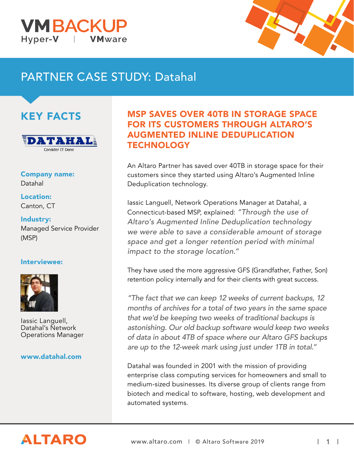



# PARTNER CASE STUDY: Datahal

## KEY FACTS



Company name: Datahal

Location: Canton, CT

Industry: Managed Service Provider (MSP)

#### Interviewee:



Iassic Languell, Datahal's Network Operations Manager

#### www.datahal.com

## MSP SAVES OVER 40TB IN STORAGE SPACE FOR ITS CUSTOMERS THROUGH ALTARO'S AUGMENTED INLINE DEDUPLICATION **TECHNOLOGY**

An Altaro Partner has saved over 40TB in storage space for their customers since they started using Altaro's Augmented Inline Deduplication technology.

Iassic Languell, Network Operations Manager at Datahal, a Connecticut-based MSP, explained: "Through the use of Altaro's Augmented Inline Deduplication technology we were able to save a considerable amount of storage space and get a longer retention period with minimal impact to the storage location."

They have used the more aggressive GFS (Grandfather, Father, Son) retention policy internally and for their clients with great success.

"The fact that we can keep 12 weeks of current backups, 12 months of archives for a total of two years in the same space that we'd be keeping two weeks of traditional backups is astonishing. Our old backup software would keep two weeks of data in about 4TB of space where our Altaro GFS backups are up to the 12-week mark using just under 1TB in total."

Datahal was founded in 2001 with the mission of providing enterprise class computing services for homeowners and small to medium-sized businesses. Its diverse group of clients range from biotech and medical to software, hosting, web development and automated systems.

# **ALTARO**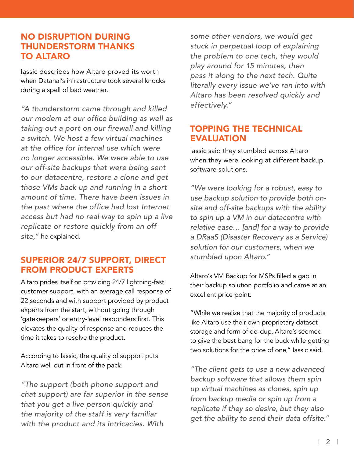#### NO DISRUPTION DURING THUNDERSTORM THANKS TO ALTARO

Iassic describes how Altaro proved its worth when Datahal's infrastructure took several knocks during a spell of bad weather.

"A thunderstorm came through and killed our modem at our office building as well as taking out a port on our firewall and killing a switch. We host a few virtual machines at the office for internal use which were no longer accessible. We were able to use our off-site backups that were being sent to our datacentre, restore a clone and get those VMs back up and running in a short amount of time. There have been issues in the past where the office had lost Internet access but had no real way to spin up a live replicate or restore quickly from an offsite," he explained.

#### SUPERIOR 24/7 SUPPORT, DIRECT FROM PRODUCT EXPERTS

Altaro prides itself on providing 24/7 lightning-fast customer support, with an average call response of 22 seconds and with support provided by product experts from the start, without going through 'gatekeepers' or entry-level responders first. This elevates the quality of response and reduces the time it takes to resolve the product.

According to Iassic, the quality of support puts Altaro well out in front of the pack.

"The support (both phone support and chat support) are far superior in the sense that you get a live person quickly and the majority of the staff is very familiar with the product and its intricacies. With

some other vendors, we would get stuck in perpetual loop of explaining the problem to one tech, they would play around for 15 minutes, then pass it along to the next tech. Quite literally every issue we've ran into with Altaro has been resolved quickly and effectively."

#### TOPPING THE TECHNICAL EVALUATION

Iassic said they stumbled across Altaro when they were looking at different backup software solutions.

"We were looking for a robust, easy to use backup solution to provide both onsite and off-site backups with the ability to spin up a VM in our datacentre with relative ease… [and] for a way to provide a DRaaS (Disaster Recovery as a Service) solution for our customers, when we stumbled upon Altaro."

Altaro's VM Backup for MSPs filled a gap in their backup solution portfolio and came at an excellent price point.

"While we realize that the majority of products like Altaro use their own proprietary dataset storage and form of de-dup, Altaro's seemed to give the best bang for the buck while getting two solutions for the price of one," Iassic said.

"The client gets to use a new advanced backup software that allows them spin up virtual machines as clones, spin up from backup media or spin up from a replicate if they so desire, but they also get the ability to send their data offsite."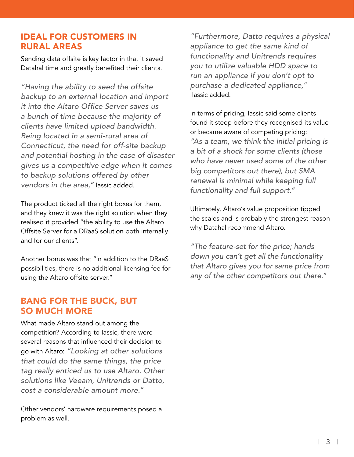#### IDEAL FOR CUSTOMERS IN RURAL AREAS

Sending data offsite is key factor in that it saved Datahal time and greatly benefited their clients.

"Having the ability to seed the offsite backup to an external location and import it into the Altaro Office Server saves us a bunch of time because the majority of clients have limited upload bandwidth. Being located in a semi-rural area of Connecticut, the need for off-site backup and potential hosting in the case of disaster gives us a competitive edge when it comes to backup solutions offered by other vendors in the area," Iassic added.

The product ticked all the right boxes for them, and they knew it was the right solution when they realised it provided "the ability to use the Altaro Offsite Server for a DRaaS solution both internally and for our clients".

Another bonus was that "in addition to the DRaaS possibilities, there is no additional licensing fee for using the Altaro offsite server."

#### BANG FOR THE BUCK, BUT SO MUCH MORE

What made Altaro stand out among the competition? According to Iassic, there were several reasons that influenced their decision to go with Altaro: "Looking at other solutions that could do the same things, the price tag really enticed us to use Altaro. Other solutions like Veeam, Unitrends or Datto, cost a considerable amount more."

Other vendors' hardware requirements posed a problem as well.

"Furthermore, Datto requires a physical appliance to get the same kind of functionality and Unitrends requires you to utilize valuable HDD space to run an appliance if you don't opt to purchase a dedicated appliance," Iassic added.

In terms of pricing, Iassic said some clients found it steep before they recognised its value or became aware of competing pricing: "As a team, we think the initial pricing is a bit of a shock for some clients (those who have never used some of the other big competitors out there), but SMA renewal is minimal while keeping full functionality and full support."

Ultimately, Altaro's value proposition tipped the scales and is probably the strongest reason why Datahal recommend Altaro.

"The feature-set for the price; hands down you can't get all the functionality that Altaro gives you for same price from any of the other competitors out there."